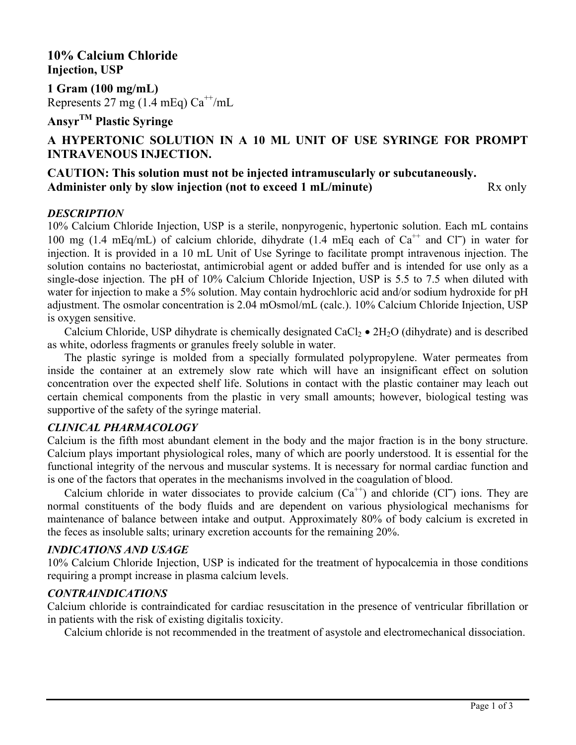**10% Calcium Chloride Injection, USP**

**1 Gram (100 mg/mL)** Represents 27 mg (1.4 mEq)  $Ca^{++}/mL$ 

**AnsyrTM Plastic Syringe**

# **A HYPERTONIC SOLUTION IN A 10 ML UNIT OF USE SYRINGE FOR PROMPT INTRAVENOUS INJECTION.**

# **CAUTION: This solution must not be injected intramuscularly or subcutaneously.**  Administer only by slow injection (not to exceed 1 mL/minute) Rx only

# *DESCRIPTION*

10% Calcium Chloride Injection, USP is a sterile, nonpyrogenic, hypertonic solution. Each mL contains 100 mg (1.4 mEq/mL) of calcium chloride, dihydrate (1.4 mEq each of  $Ca^{++}$  and Cl<sup>-1</sup>) in water for injection. It is provided in a 10 mL Unit of Use Syringe to facilitate prompt intravenous injection. The solution contains no bacteriostat, antimicrobial agent or added buffer and is intended for use only as a single-dose injection. The pH of 10% Calcium Chloride Injection, USP is 5.5 to 7.5 when diluted with water for injection to make a 5% solution. May contain hydrochloric acid and/or sodium hydroxide for pH adjustment. The osmolar concentration is 2.04 mOsmol/mL (calc.). 10% Calcium Chloride Injection, USP is oxygen sensitive.

Calcium Chloride, USP dihydrate is chemically designated  $CaCl<sub>2</sub> \bullet 2H<sub>2</sub>O$  (dihydrate) and is described as white, odorless fragments or granules freely soluble in water.

The plastic syringe is molded from a specially formulated polypropylene. Water permeates from inside the container at an extremely slow rate which will have an insignificant effect on solution concentration over the expected shelf life. Solutions in contact with the plastic container may leach out certain chemical components from the plastic in very small amounts; however, biological testing was supportive of the safety of the syringe material.

### *CLINICAL PHARMACOLOGY*

Calcium is the fifth most abundant element in the body and the major fraction is in the bony structure. Calcium plays important physiological roles, many of which are poorly understood. It is essential for the functional integrity of the nervous and muscular systems. It is necessary for normal cardiac function and is one of the factors that operates in the mechanisms involved in the coagulation of blood.

Calcium chloride in water dissociates to provide calcium  $(Ca^{++})$  and chloride  $(CI^-)$  ions. They are normal constituents of the body fluids and are dependent on various physiological mechanisms for maintenance of balance between intake and output. Approximately 80% of body calcium is excreted in the feces as insoluble salts; urinary excretion accounts for the remaining 20%.

## *INDICATIONS AND USAGE*

10% Calcium Chloride Injection, USP is indicated for the treatment of hypocalcemia in those conditions requiring a prompt increase in plasma calcium levels.

## *CONTRAINDICATIONS*

Calcium chloride is contraindicated for cardiac resuscitation in the presence of ventricular fibrillation or in patients with the risk of existing digitalis toxicity.

Calcium chloride is not recommended in the treatment of asystole and electromechanical dissociation.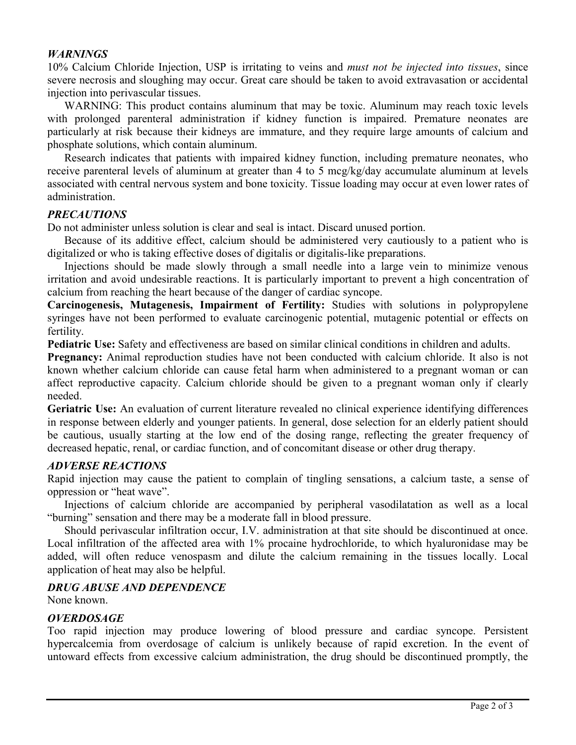#### *WARNINGS*

10% Calcium Chloride Injection, USP is irritating to veins and *must not be injected into tissues*, since severe necrosis and sloughing may occur. Great care should be taken to avoid extravasation or accidental injection into perivascular tissues.

WARNING: This product contains aluminum that may be toxic. Aluminum may reach toxic levels with prolonged parenteral administration if kidney function is impaired. Premature neonates are particularly at risk because their kidneys are immature, and they require large amounts of calcium and phosphate solutions, which contain aluminum.

Research indicates that patients with impaired kidney function, including premature neonates, who receive parenteral levels of aluminum at greater than 4 to 5 mcg/kg/day accumulate aluminum at levels associated with central nervous system and bone toxicity. Tissue loading may occur at even lower rates of administration.

## *PRECAUTIONS*

Do not administer unless solution is clear and seal is intact. Discard unused portion.

Because of its additive effect, calcium should be administered very cautiously to a patient who is digitalized or who is taking effective doses of digitalis or digitalis-like preparations.

Injections should be made slowly through a small needle into a large vein to minimize venous irritation and avoid undesirable reactions. It is particularly important to prevent a high concentration of calcium from reaching the heart because of the danger of cardiac syncope.

**Carcinogenesis, Mutagenesis, Impairment of Fertility:** Studies with solutions in polypropylene syringes have not been performed to evaluate carcinogenic potential, mutagenic potential or effects on fertility.

**Pediatric Use:** Safety and effectiveness are based on similar clinical conditions in children and adults.

**Pregnancy:** Animal reproduction studies have not been conducted with calcium chloride. It also is not known whether calcium chloride can cause fetal harm when administered to a pregnant woman or can affect reproductive capacity. Calcium chloride should be given to a pregnant woman only if clearly needed.

**Geriatric Use:** An evaluation of current literature revealed no clinical experience identifying differences in response between elderly and younger patients. In general, dose selection for an elderly patient should be cautious, usually starting at the low end of the dosing range, reflecting the greater frequency of decreased hepatic, renal, or cardiac function, and of concomitant disease or other drug therapy.

# *ADVERSE REACTIONS*

Rapid injection may cause the patient to complain of tingling sensations, a calcium taste, a sense of oppression or "heat wave".

Injections of calcium chloride are accompanied by peripheral vasodilatation as well as a local "burning" sensation and there may be a moderate fall in blood pressure.

Should perivascular infiltration occur, I.V. administration at that site should be discontinued at once. Local infiltration of the affected area with 1% procaine hydrochloride, to which hyaluronidase may be added, will often reduce venospasm and dilute the calcium remaining in the tissues locally. Local application of heat may also be helpful.

## *DRUG ABUSE AND DEPENDENCE*

None known.

# *OVERDOSAGE*

Too rapid injection may produce lowering of blood pressure and cardiac syncope. Persistent hypercalcemia from overdosage of calcium is unlikely because of rapid excretion. In the event of untoward effects from excessive calcium administration, the drug should be discontinued promptly, the